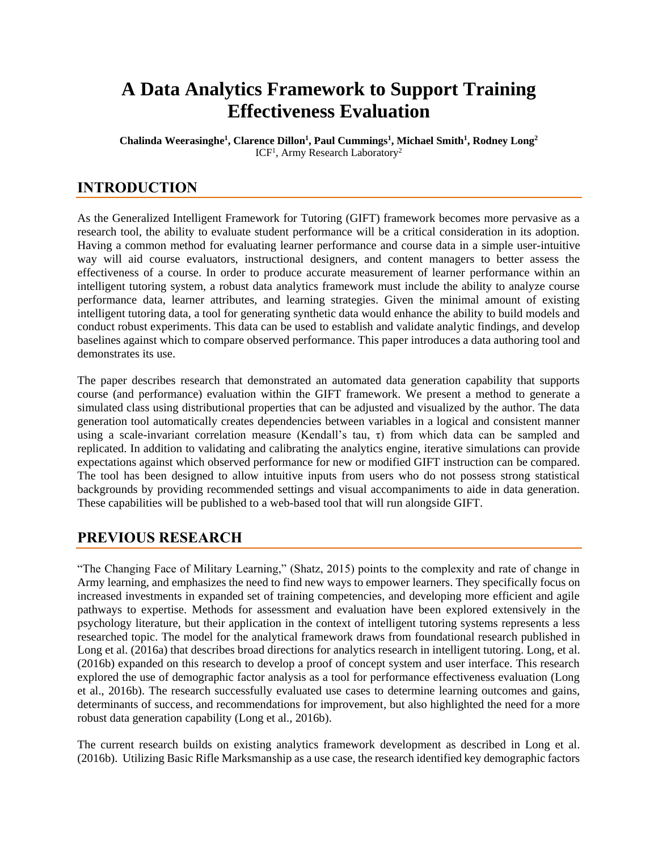# **A Data Analytics Framework to Support Training Effectiveness Evaluation**

**Chalinda Weerasinghe<sup>1</sup> , Clarence Dillon<sup>1</sup> , Paul Cummings<sup>1</sup> , Michael Smith<sup>1</sup> , Rodney Long<sup>2</sup>** ICF<sup>1</sup>, Army Research Laboratory<sup>2</sup>

# **INTRODUCTION**

As the Generalized Intelligent Framework for Tutoring (GIFT) framework becomes more pervasive as a research tool, the ability to evaluate student performance will be a critical consideration in its adoption. Having a common method for evaluating learner performance and course data in a simple user-intuitive way will aid course evaluators, instructional designers, and content managers to better assess the effectiveness of a course. In order to produce accurate measurement of learner performance within an intelligent tutoring system, a robust data analytics framework must include the ability to analyze course performance data, learner attributes, and learning strategies. Given the minimal amount of existing intelligent tutoring data, a tool for generating synthetic data would enhance the ability to build models and conduct robust experiments. This data can be used to establish and validate analytic findings, and develop baselines against which to compare observed performance. This paper introduces a data authoring tool and demonstrates its use.

The paper describes research that demonstrated an automated data generation capability that supports course (and performance) evaluation within the GIFT framework. We present a method to generate a simulated class using distributional properties that can be adjusted and visualized by the author. The data generation tool automatically creates dependencies between variables in a logical and consistent manner using a scale-invariant correlation measure (Kendall's tau, τ) from which data can be sampled and replicated. In addition to validating and calibrating the analytics engine, iterative simulations can provide expectations against which observed performance for new or modified GIFT instruction can be compared. The tool has been designed to allow intuitive inputs from users who do not possess strong statistical backgrounds by providing recommended settings and visual accompaniments to aide in data generation. These capabilities will be published to a web-based tool that will run alongside GIFT.

# **PREVIOUS RESEARCH**

"The Changing Face of Military Learning," (Shatz, 2015) points to the complexity and rate of change in Army learning, and emphasizes the need to find new ways to empower learners. They specifically focus on increased investments in expanded set of training competencies, and developing more efficient and agile pathways to expertise. Methods for assessment and evaluation have been explored extensively in the psychology literature, but their application in the context of intelligent tutoring systems represents a less researched topic. The model for the analytical framework draws from foundational research published in Long et al. (2016a) that describes broad directions for analytics research in intelligent tutoring. Long, et al. (2016b) expanded on this research to develop a proof of concept system and user interface. This research explored the use of demographic factor analysis as a tool for performance effectiveness evaluation (Long et al., 2016b). The research successfully evaluated use cases to determine learning outcomes and gains, determinants of success, and recommendations for improvement, but also highlighted the need for a more robust data generation capability (Long et al., 2016b).

The current research builds on existing analytics framework development as described in Long et al. (2016b). Utilizing Basic Rifle Marksmanship as a use case, the research identified key demographic factors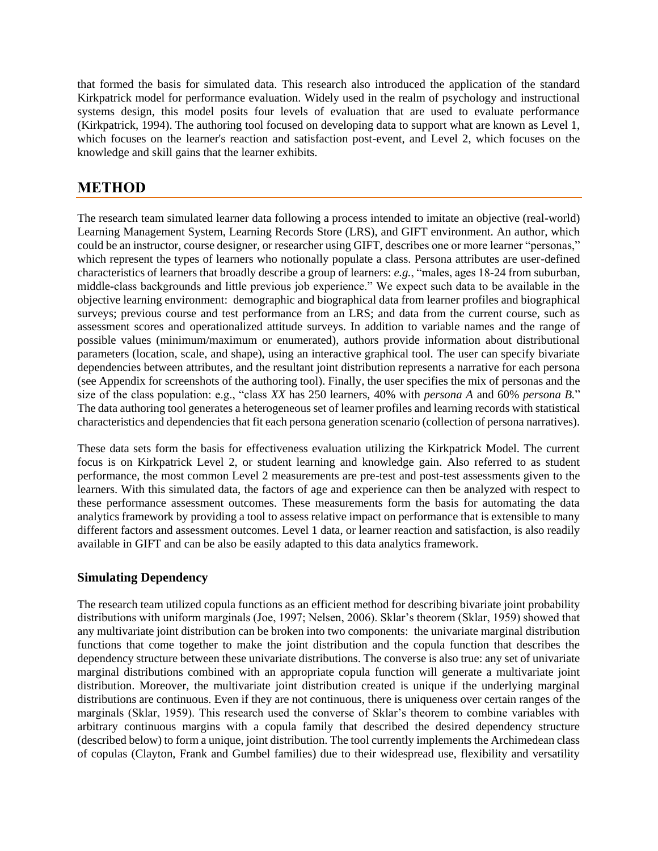that formed the basis for simulated data. This research also introduced the application of the standard Kirkpatrick model for performance evaluation. Widely used in the realm of psychology and instructional systems design, this model posits four levels of evaluation that are used to evaluate performance (Kirkpatrick, 1994). The authoring tool focused on developing data to support what are known as Level 1, which focuses on the learner's reaction and satisfaction post-event, and Level 2, which focuses on the knowledge and skill gains that the learner exhibits.

# **METHOD**

The research team simulated learner data following a process intended to imitate an objective (real-world) Learning Management System, Learning Records Store (LRS), and GIFT environment. An author, which could be an instructor, course designer, or researcher using GIFT, describes one or more learner "personas," which represent the types of learners who notionally populate a class. Persona attributes are user-defined characteristics of learners that broadly describe a group of learners: *e.g.*, "males, ages 18-24 from suburban, middle-class backgrounds and little previous job experience." We expect such data to be available in the objective learning environment: demographic and biographical data from learner profiles and biographical surveys; previous course and test performance from an LRS; and data from the current course, such as assessment scores and operationalized attitude surveys. In addition to variable names and the range of possible values (minimum/maximum or enumerated), authors provide information about distributional parameters (location, scale, and shape), using an interactive graphical tool. The user can specify bivariate dependencies between attributes, and the resultant joint distribution represents a narrative for each persona (see Appendix for screenshots of the authoring tool). Finally, the user specifies the mix of personas and the size of the class population: e.g., "class *XX* has 250 learners, 40% with *persona A* and 60% *persona B.*" The data authoring tool generates a heterogeneous set of learner profiles and learning records with statistical characteristics and dependencies that fit each persona generation scenario (collection of persona narratives).

These data sets form the basis for effectiveness evaluation utilizing the Kirkpatrick Model. The current focus is on Kirkpatrick Level 2, or student learning and knowledge gain. Also referred to as student performance, the most common Level 2 measurements are pre-test and post-test assessments given to the learners. With this simulated data, the factors of age and experience can then be analyzed with respect to these performance assessment outcomes. These measurements form the basis for automating the data analytics framework by providing a tool to assess relative impact on performance that is extensible to many different factors and assessment outcomes. Level 1 data, or learner reaction and satisfaction, is also readily available in GIFT and can be also be easily adapted to this data analytics framework.

### **Simulating Dependency**

The research team utilized copula functions as an efficient method for describing bivariate joint probability distributions with uniform marginals (Joe, 1997; Nelsen, 2006). Sklar's theorem (Sklar, 1959) showed that any multivariate joint distribution can be broken into two components: the univariate marginal distribution functions that come together to make the joint distribution and the copula function that describes the dependency structure between these univariate distributions. The converse is also true: any set of univariate marginal distributions combined with an appropriate copula function will generate a multivariate joint distribution. Moreover, the multivariate joint distribution created is unique if the underlying marginal distributions are continuous. Even if they are not continuous, there is uniqueness over certain ranges of the marginals (Sklar, 1959). This research used the converse of Sklar's theorem to combine variables with arbitrary continuous margins with a copula family that described the desired dependency structure (described below) to form a unique, joint distribution. The tool currently implements the Archimedean class of copulas (Clayton, Frank and Gumbel families) due to their widespread use, flexibility and versatility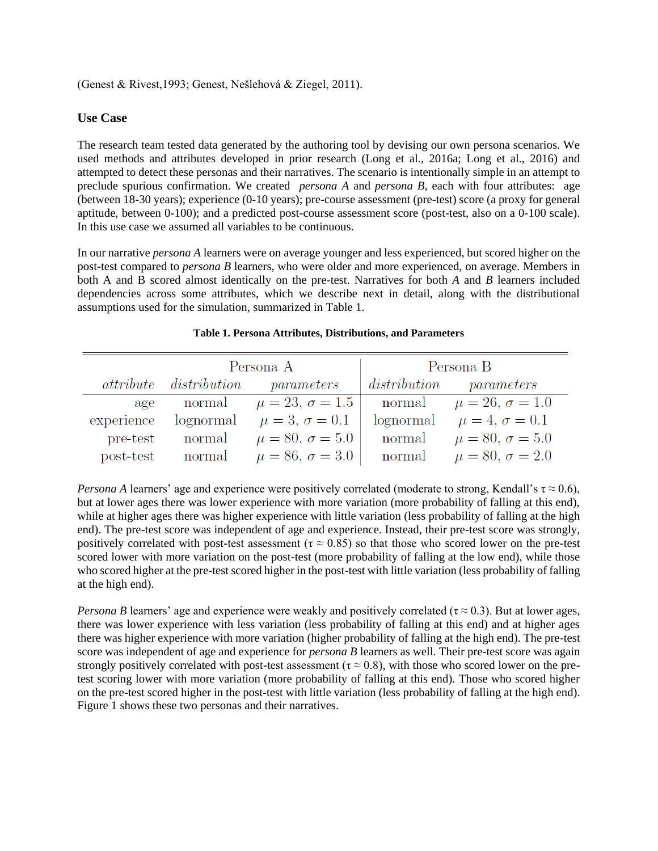(Genest & Rivest,1993; Genest, Nešlehová & Ziegel, 2011).

#### **Use Case**

The research team tested data generated by the authoring tool by devising our own persona scenarios. We used methods and attributes developed in prior research (Long et al., 2016a; Long et al., 2016) and attempted to detect these personas and their narratives. The scenario is intentionally simple in an attempt to preclude spurious confirmation. We created *persona A* and *persona B*, each with four attributes: age (between 18-30 years); experience (0-10 years); pre-course assessment (pre-test) score (a proxy for general aptitude, between 0-100); and a predicted post-course assessment score (post-test, also on a 0-100 scale). In this use case we assumed all variables to be continuous.

In our narrative *persona A* learners were on average younger and less experienced, but scored higher on the post-test compared to *persona B* learners, who were older and more experienced, on average. Members in both A and B scored almost identically on the pre-test. Narratives for both *A* and *B* learners included dependencies across some attributes, which we describe next in detail, along with the distributional assumptions used for the simulation, summarized in Table 1.

|            | Persona A |                                          | Persona B    |                          |
|------------|-----------|------------------------------------------|--------------|--------------------------|
|            |           | <i>attribute distribution parameters</i> | distribution | parameters               |
| age        | normal    | $\mu = 23, \sigma = 1.5$                 | normal       | $\mu = 26, \sigma = 1.0$ |
| experience | lognormal | $\mu = 3, \sigma = 0.1$                  | lognormal    | $\mu = 4, \sigma = 0.1$  |
| pre-test   | normal    | $\mu = 80, \sigma = 5.0$                 | normal       | $\mu = 80, \sigma = 5.0$ |
| post-test  | normal    | $\mu = 86, \sigma = 3.0$                 | normal       | $\mu = 80, \sigma = 2.0$ |

#### **Table 1. Persona Attributes, Distributions, and Parameters**

*Persona A* learners' age and experience were positively correlated (moderate to strong, Kendall's  $\tau \approx 0.6$ ), but at lower ages there was lower experience with more variation (more probability of falling at this end), while at higher ages there was higher experience with little variation (less probability of falling at the high end). The pre-test score was independent of age and experience. Instead, their pre-test score was strongly, positively correlated with post-test assessment ( $\tau \approx 0.85$ ) so that those who scored lower on the pre-test scored lower with more variation on the post-test (more probability of falling at the low end), while those who scored higher at the pre-test scored higher in the post-test with little variation (less probability of falling at the high end).

*Persona B* learners' age and experience were weakly and positively correlated ( $\tau \approx 0.3$ ). But at lower ages, there was lower experience with less variation (less probability of falling at this end) and at higher ages there was higher experience with more variation (higher probability of falling at the high end). The pre-test score was independent of age and experience for *persona B* learners as well. Their pre-test score was again strongly positively correlated with post-test assessment ( $\tau \approx 0.8$ ), with those who scored lower on the pretest scoring lower with more variation (more probability of falling at this end). Those who scored higher on the pre-test scored higher in the post-test with little variation (less probability of falling at the high end). Figure 1 shows these two personas and their narratives.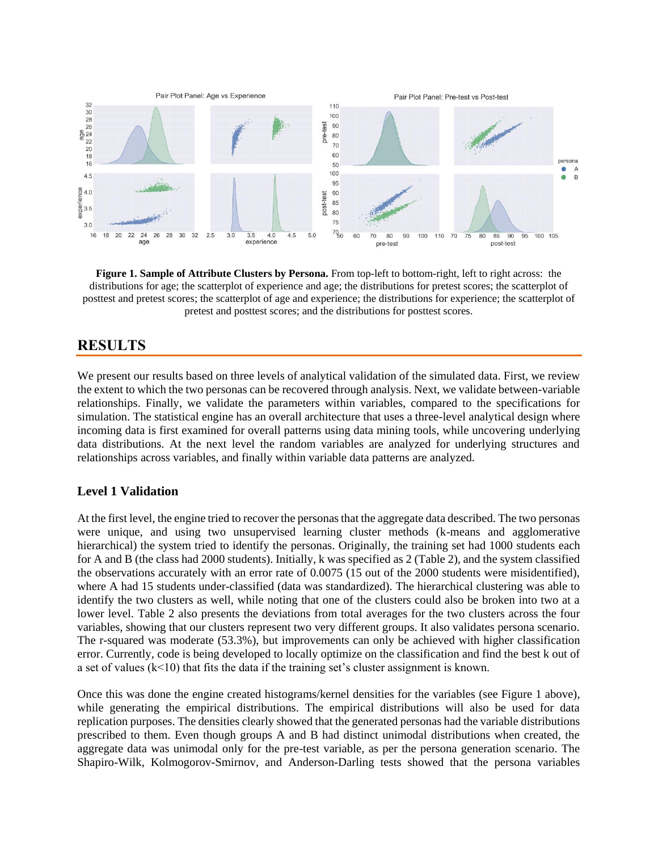

**Figure 1. Sample of Attribute Clusters by Persona.** From top-left to bottom-right, left to right across: the distributions for age; the scatterplot of experience and age; the distributions for pretest scores; the scatterplot of posttest and pretest scores; the scatterplot of age and experience; the distributions for experience; the scatterplot of pretest and posttest scores; and the distributions for posttest scores.

### **RESULTS**

We present our results based on three levels of analytical validation of the simulated data. First, we review the extent to which the two personas can be recovered through analysis. Next, we validate between-variable relationships. Finally, we validate the parameters within variables, compared to the specifications for simulation. The statistical engine has an overall architecture that uses a three-level analytical design where incoming data is first examined for overall patterns using data mining tools, while uncovering underlying data distributions. At the next level the random variables are analyzed for underlying structures and relationships across variables, and finally within variable data patterns are analyzed.

### **Level 1 Validation**

At the first level, the engine tried to recover the personas that the aggregate data described. The two personas were unique, and using two unsupervised learning cluster methods (k-means and agglomerative hierarchical) the system tried to identify the personas. Originally, the training set had 1000 students each for A and B (the class had 2000 students). Initially, k was specified as 2 (Table 2), and the system classified the observations accurately with an error rate of 0.0075 (15 out of the 2000 students were misidentified), where A had 15 students under-classified (data was standardized). The hierarchical clustering was able to identify the two clusters as well, while noting that one of the clusters could also be broken into two at a lower level. Table 2 also presents the deviations from total averages for the two clusters across the four variables, showing that our clusters represent two very different groups. It also validates persona scenario. The r-squared was moderate (53.3%), but improvements can only be achieved with higher classification error. Currently, code is being developed to locally optimize on the classification and find the best k out of a set of values  $(k<10)$  that fits the data if the training set's cluster assignment is known.

Once this was done the engine created histograms/kernel densities for the variables (see Figure 1 above), while generating the empirical distributions. The empirical distributions will also be used for data replication purposes. The densities clearly showed that the generated personas had the variable distributions prescribed to them. Even though groups A and B had distinct unimodal distributions when created, the aggregate data was unimodal only for the pre-test variable, as per the persona generation scenario. The Shapiro-Wilk, Kolmogorov-Smirnov, and Anderson-Darling tests showed that the persona variables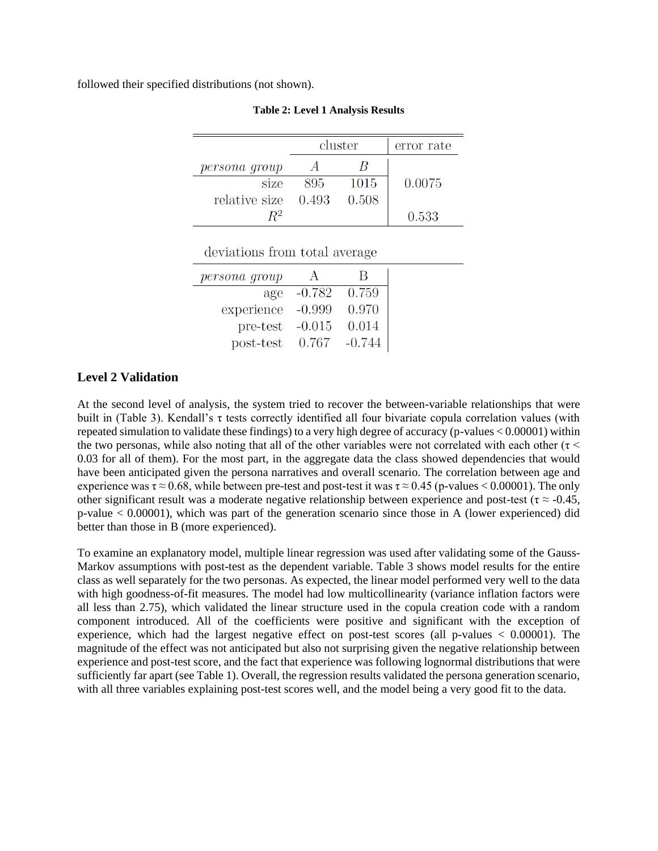followed their specified distributions (not shown).

|               | cluster |       | error rate |
|---------------|---------|-------|------------|
| persona group |         |       |            |
| size          | 895     | 1015  | 0.0075     |
| relative size | 0.493   | 0.508 |            |
|               |         |       | 0.533      |

#### **Table 2: Level 1 Analysis Results**

deviations from total average

| persona group |          |          |
|---------------|----------|----------|
| age           | $-0.782$ | 0.759    |
| experience    | $-0.999$ | 0.970    |
| pre-test      | $-0.015$ | 0.014    |
| post-test     | 0.767    | $-0.744$ |

#### **Level 2 Validation**

At the second level of analysis, the system tried to recover the between-variable relationships that were built in (Table 3). Kendall's τ tests correctly identified all four bivariate copula correlation values (with repeated simulation to validate these findings) to a very high degree of accuracy (p-values < 0.00001) within the two personas, while also noting that all of the other variables were not correlated with each other ( $\tau$  < 0.03 for all of them). For the most part, in the aggregate data the class showed dependencies that would have been anticipated given the persona narratives and overall scenario. The correlation between age and experience was  $\tau \approx 0.68$ , while between pre-test and post-test it was  $\tau \approx 0.45$  (p-values < 0.00001). The only other significant result was a moderate negative relationship between experience and post-test ( $\tau \approx -0.45$ , p-value < 0.00001), which was part of the generation scenario since those in A (lower experienced) did better than those in B (more experienced).

To examine an explanatory model, multiple linear regression was used after validating some of the Gauss-Markov assumptions with post-test as the dependent variable. Table 3 shows model results for the entire class as well separately for the two personas. As expected, the linear model performed very well to the data with high goodness-of-fit measures. The model had low multicollinearity (variance inflation factors were all less than 2.75), which validated the linear structure used in the copula creation code with a random component introduced. All of the coefficients were positive and significant with the exception of experience, which had the largest negative effect on post-test scores (all p-values  $\lt 0.00001$ ). The magnitude of the effect was not anticipated but also not surprising given the negative relationship between experience and post-test score, and the fact that experience was following lognormal distributions that were sufficiently far apart (see Table 1). Overall, the regression results validated the persona generation scenario, with all three variables explaining post-test scores well, and the model being a very good fit to the data.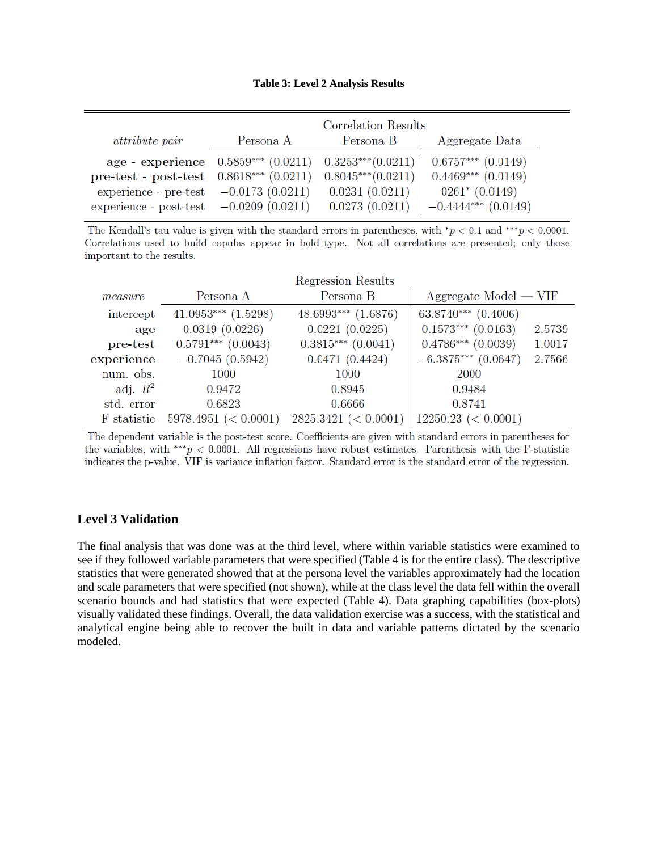#### **Table 3: Level 2 Analysis Results**

|                                                                    | Correlation Results                                            |                |                        |
|--------------------------------------------------------------------|----------------------------------------------------------------|----------------|------------------------|
| <i>attribute pair</i>                                              | Persona A                                                      | Persona B      | Aggregate Data         |
|                                                                    | age - experience $0.5859***$ $(0.0211)$ $0.3253***$ $(0.0211)$ |                | $0.6757***$ $(0.0149)$ |
| pre-test - post-test $0.8618***$ $(0.0211)$ $0.8045***$ $(0.0211)$ |                                                                |                | $0.4469***$ $(0.0149)$ |
| experience - pre-test $-0.0173$ (0.0211)                           |                                                                | 0.0231(0.0211) | $0261^* (0.0149)$      |
| experience - post-test $-0.0209$ $(0.0211)$                        |                                                                | 0.0273(0.0211) | $-0.4444***$ (0.0149)  |

The Kendall's tau value is given with the standard errors in parentheses, with  $^*p < 0.1$  and  $^{***}p < 0.0001$ . Correlations used to build copulas appear in bold type. Not all correlations are presented; only those important to the results.

|             |                         | Regression Results      |                         |        |
|-------------|-------------------------|-------------------------|-------------------------|--------|
| measure     | Persona A               | Persona B               | $Aggregate Model - VIF$ |        |
| intercept   | $41.0953***$ $(1.5298)$ | $48.6993***$ $(1.6876)$ | $63.8740***$ $(0.4006)$ |        |
| age         | 0.0319(0.0226)          | 0.0221(0.0225)          | $0.1573***$ (0.0163)    | 2.5739 |
| pre-test    | $0.5791***$ $(0.0043)$  | $0.3815***$ $(0.0041)$  | $0.4786***$ (0.0039)    | 1.0017 |
| experience  | $-0.7045(0.5942)$       | 0.0471(0.4424)          | $-6.3875***$ (0.0647)   | 2.7566 |
| num. obs.   | 1000                    | 1000                    | 2000                    |        |
| adj. $R^2$  | 0.9472                  | 0.8945                  | 0.9484                  |        |
| std. error  | 0.6823                  | 0.6666                  | 0.8741                  |        |
| F statistic | 5978.4951 (< 0.0001)    | $2825.3421 \leq 0.0001$ | $12250.23 \leq 0.0001$  |        |

The dependent variable is the post-test score. Coefficients are given with standard errors in parentheses for the variables, with \*\*\* $p < 0.0001$ . All regressions have robust estimates. Parenthesis with the F-statistic indicates the p-value. VIF is variance inflation factor. Standard error is the standard error of the regression.

#### **Level 3 Validation**

The final analysis that was done was at the third level, where within variable statistics were examined to see if they followed variable parameters that were specified (Table 4 is for the entire class). The descriptive statistics that were generated showed that at the persona level the variables approximately had the location and scale parameters that were specified (not shown), while at the class level the data fell within the overall scenario bounds and had statistics that were expected (Table 4). Data graphing capabilities (box-plots) visually validated these findings. Overall, the data validation exercise was a success, with the statistical and analytical engine being able to recover the built in data and variable patterns dictated by the scenario modeled.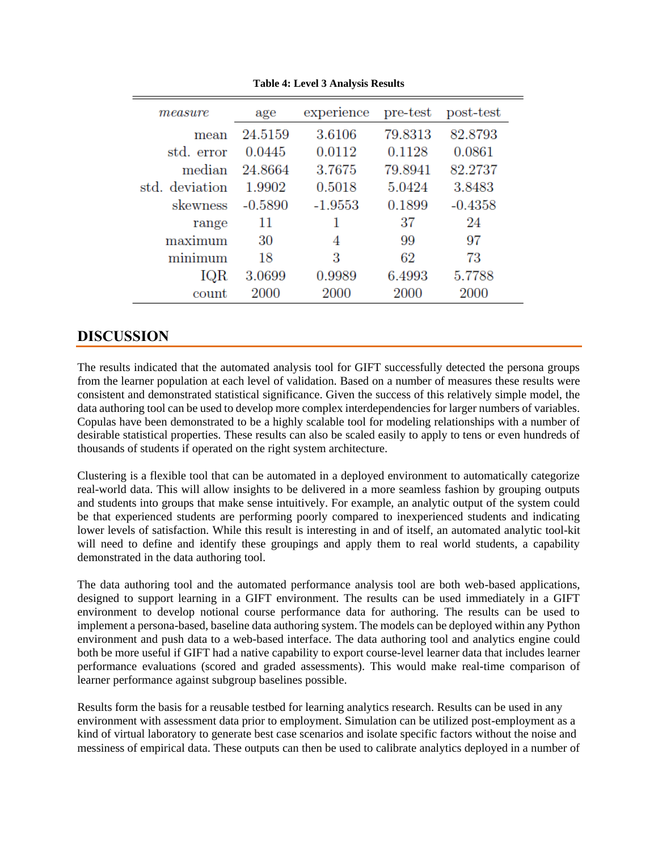| measure        | age       | experience | pre-test | post-test |
|----------------|-----------|------------|----------|-----------|
| mean           | 24.5159   | 3.6106     | 79.8313  | 82.8793   |
| std. error     | 0.0445    | 0.0112     | 0.1128   | 0.0861    |
| median         | 24.8664   | 3.7675     | 79.8941  | 82.2737   |
| std. deviation | 1.9902    | 0.5018     | 5.0424   | 3.8483    |
| skewness       | $-0.5890$ | $-1.9553$  | 0.1899   | $-0.4358$ |
| range          | 11        |            | 37       | 24        |
| maximum        | 30        | 4          | 99       | 97        |
| minimum        | 18        | 3          | 62       | 73        |
| IQR            | 3.0699    | 0.9989     | 6.4993   | 5.7788    |
| count          | 2000      | 2000       | 2000     | 2000      |

**Table 4: Level 3 Analysis Results**

## **DISCUSSION**

The results indicated that the automated analysis tool for GIFT successfully detected the persona groups from the learner population at each level of validation. Based on a number of measures these results were consistent and demonstrated statistical significance. Given the success of this relatively simple model, the data authoring tool can be used to develop more complex interdependencies for larger numbers of variables. Copulas have been demonstrated to be a highly scalable tool for modeling relationships with a number of desirable statistical properties. These results can also be scaled easily to apply to tens or even hundreds of thousands of students if operated on the right system architecture.

Clustering is a flexible tool that can be automated in a deployed environment to automatically categorize real-world data. This will allow insights to be delivered in a more seamless fashion by grouping outputs and students into groups that make sense intuitively. For example, an analytic output of the system could be that experienced students are performing poorly compared to inexperienced students and indicating lower levels of satisfaction. While this result is interesting in and of itself, an automated analytic tool-kit will need to define and identify these groupings and apply them to real world students, a capability demonstrated in the data authoring tool.

The data authoring tool and the automated performance analysis tool are both web-based applications, designed to support learning in a GIFT environment. The results can be used immediately in a GIFT environment to develop notional course performance data for authoring. The results can be used to implement a persona-based, baseline data authoring system. The models can be deployed within any Python environment and push data to a web-based interface. The data authoring tool and analytics engine could both be more useful if GIFT had a native capability to export course-level learner data that includes learner performance evaluations (scored and graded assessments). This would make real-time comparison of learner performance against subgroup baselines possible.

Results form the basis for a reusable testbed for learning analytics research. Results can be used in any environment with assessment data prior to employment. Simulation can be utilized post-employment as a kind of virtual laboratory to generate best case scenarios and isolate specific factors without the noise and messiness of empirical data. These outputs can then be used to calibrate analytics deployed in a number of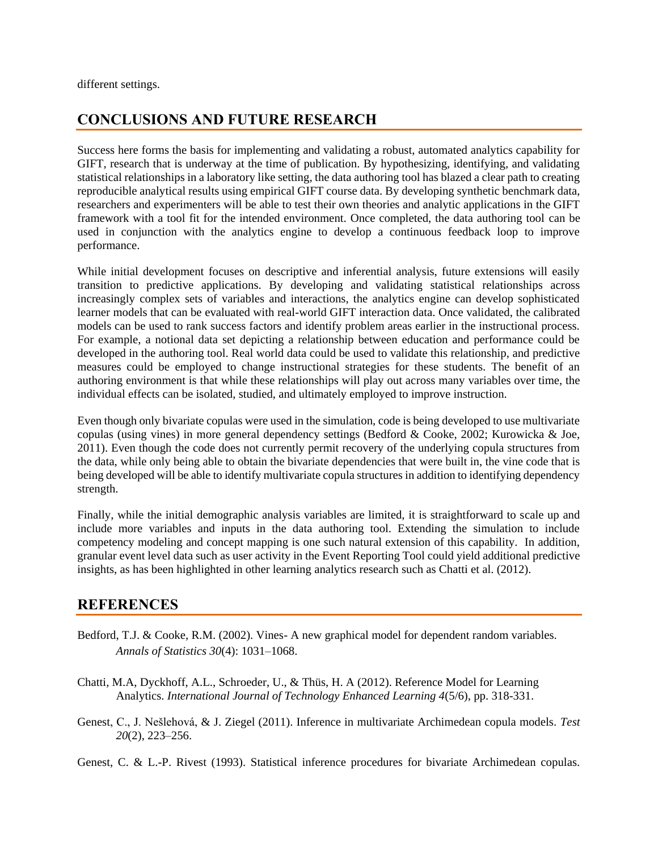different settings.

# **CONCLUSIONS AND FUTURE RESEARCH**

Success here forms the basis for implementing and validating a robust, automated analytics capability for GIFT, research that is underway at the time of publication. By hypothesizing, identifying, and validating statistical relationships in a laboratory like setting, the data authoring tool has blazed a clear path to creating reproducible analytical results using empirical GIFT course data. By developing synthetic benchmark data, researchers and experimenters will be able to test their own theories and analytic applications in the GIFT framework with a tool fit for the intended environment. Once completed, the data authoring tool can be used in conjunction with the analytics engine to develop a continuous feedback loop to improve performance.

While initial development focuses on descriptive and inferential analysis, future extensions will easily transition to predictive applications. By developing and validating statistical relationships across increasingly complex sets of variables and interactions, the analytics engine can develop sophisticated learner models that can be evaluated with real-world GIFT interaction data. Once validated, the calibrated models can be used to rank success factors and identify problem areas earlier in the instructional process. For example, a notional data set depicting a relationship between education and performance could be developed in the authoring tool. Real world data could be used to validate this relationship, and predictive measures could be employed to change instructional strategies for these students. The benefit of an authoring environment is that while these relationships will play out across many variables over time, the individual effects can be isolated, studied, and ultimately employed to improve instruction.

Even though only bivariate copulas were used in the simulation, code is being developed to use multivariate copulas (using vines) in more general dependency settings (Bedford & Cooke, 2002; Kurowicka & Joe, 2011). Even though the code does not currently permit recovery of the underlying copula structures from the data, while only being able to obtain the bivariate dependencies that were built in, the vine code that is being developed will be able to identify multivariate copula structures in addition to identifying dependency strength.

Finally, while the initial demographic analysis variables are limited, it is straightforward to scale up and include more variables and inputs in the data authoring tool. Extending the simulation to include competency modeling and concept mapping is one such natural extension of this capability. In addition, granular event level data such as user activity in the Event Reporting Tool could yield additional predictive insights, as has been highlighted in other learning analytics research such as Chatti et al. (2012).

## **REFERENCES**

- Bedford, T.J. & Cooke, R.M. (2002). Vines- A new graphical model for dependent random variables. *Annals of Statistics 30*(4): 1031–1068.
- Chatti, M.A, Dyckhoff, A.L., Schroeder, U., & Thüs, H. A (2012). Reference Model for Learning Analytics. *International Journal of Technology Enhanced Learning 4*(5/6), pp. 318-331.
- Genest, C., J. Nešlehová, & J. Ziegel (2011). Inference in multivariate Archimedean copula models. *Test 20*(2), 223–256.
- Genest, C. & L.-P. Rivest (1993). Statistical inference procedures for bivariate Archimedean copulas.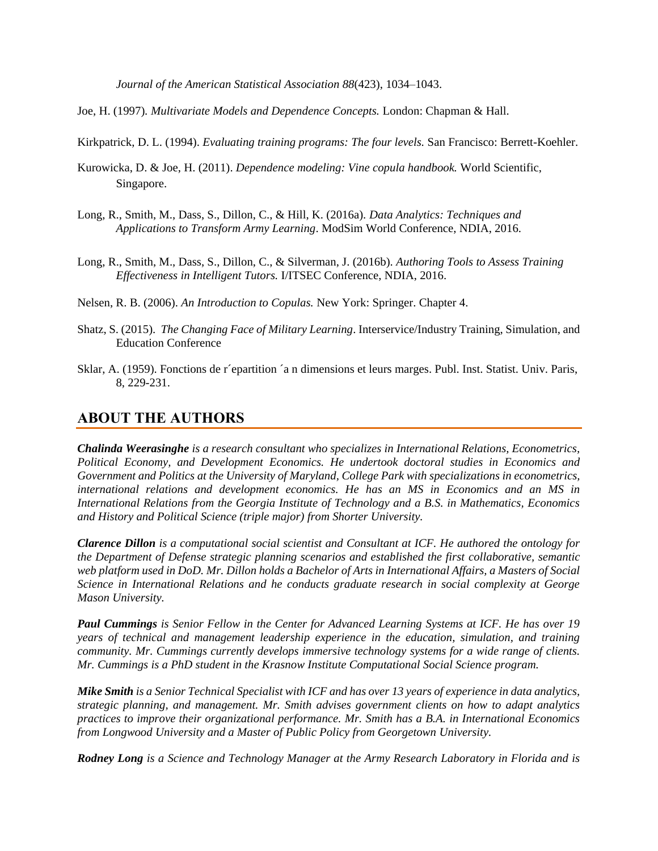*Journal of the American Statistical Association 88*(423), 1034–1043.

Joe, H. (1997)*. Multivariate Models and Dependence Concepts.* London: Chapman & Hall.

Kirkpatrick, D. L. (1994). *Evaluating training programs: The four levels.* San Francisco: Berrett-Koehler.

- Kurowicka, D. & Joe, H. (2011). *Dependence modeling: Vine copula handbook.* World Scientific, Singapore.
- Long, R., Smith, M., Dass, S., Dillon, C., & Hill, K. (2016a). *Data Analytics: Techniques and Applications to Transform Army Learning*. ModSim World Conference, NDIA, 2016.
- Long, R., Smith, M., Dass, S., Dillon, C., & Silverman, J. (2016b). *Authoring Tools to Assess Training Effectiveness in Intelligent Tutors.* I/ITSEC Conference, NDIA, 2016.
- Nelsen, R. B. (2006). *An Introduction to Copulas.* New York: Springer. Chapter 4.
- Shatz, S. (2015). *The Changing Face of Military Learning*. Interservice/Industry Training, Simulation, and Education Conference
- Sklar, A. (1959). Fonctions de r´epartition ´a n dimensions et leurs marges. Publ. Inst. Statist. Univ. Paris, 8, 229-231.

### **ABOUT THE AUTHORS**

*Chalinda Weerasinghe is a research consultant who specializes in International Relations, Econometrics, Political Economy, and Development Economics. He undertook doctoral studies in Economics and Government and Politics at the University of Maryland, College Park with specializations in econometrics, international relations and development economics. He has an MS in Economics and an MS in International Relations from the Georgia Institute of Technology and a B.S. in Mathematics, Economics and History and Political Science (triple major) from Shorter University.*

*Clarence Dillon is a computational social scientist and Consultant at ICF. He authored the ontology for the Department of Defense strategic planning scenarios and established the first collaborative, semantic web platform used in DoD. Mr. Dillon holds a Bachelor of Arts in International Affairs, a Masters of Social Science in International Relations and he conducts graduate research in social complexity at George Mason University.*

*Paul Cummings is Senior Fellow in the Center for Advanced Learning Systems at ICF. He has over 19 years of technical and management leadership experience in the education, simulation, and training community. Mr. Cummings currently develops immersive technology systems for a wide range of clients. Mr. Cummings is a PhD student in the Krasnow Institute Computational Social Science program.*

*Mike Smith is a Senior Technical Specialist with ICF and has over 13 years of experience in data analytics, strategic planning, and management. Mr. Smith advises government clients on how to adapt analytics practices to improve their organizational performance. Mr. Smith has a B.A. in International Economics from Longwood University and a Master of Public Policy from Georgetown University.*

*Rodney Long is a Science and Technology Manager at the Army Research Laboratory in Florida and is*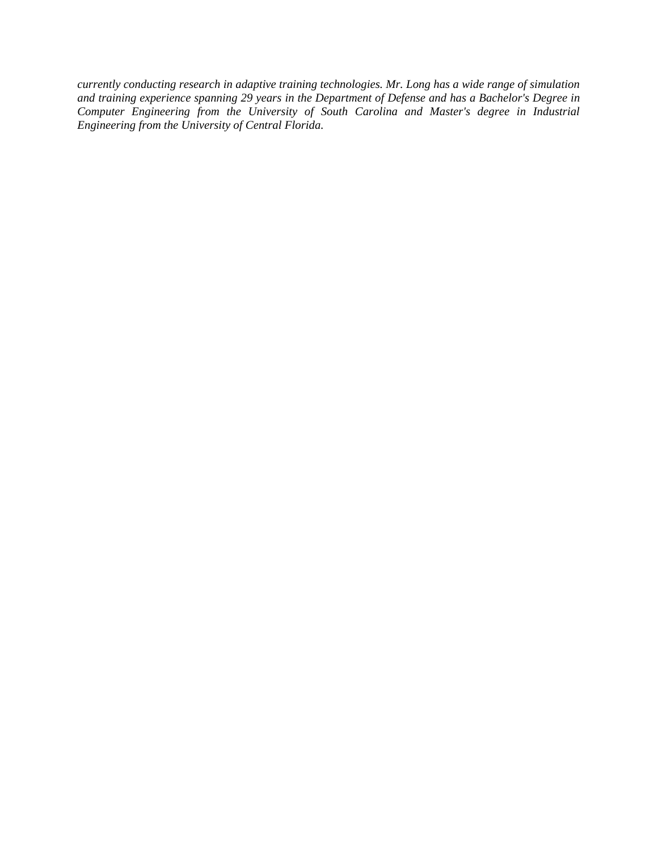*currently conducting research in adaptive training technologies. Mr. Long has a wide range of simulation and training experience spanning 29 years in the Department of Defense and has a Bachelor's Degree in Computer Engineering from the University of South Carolina and Master's degree in Industrial Engineering from the University of Central Florida.*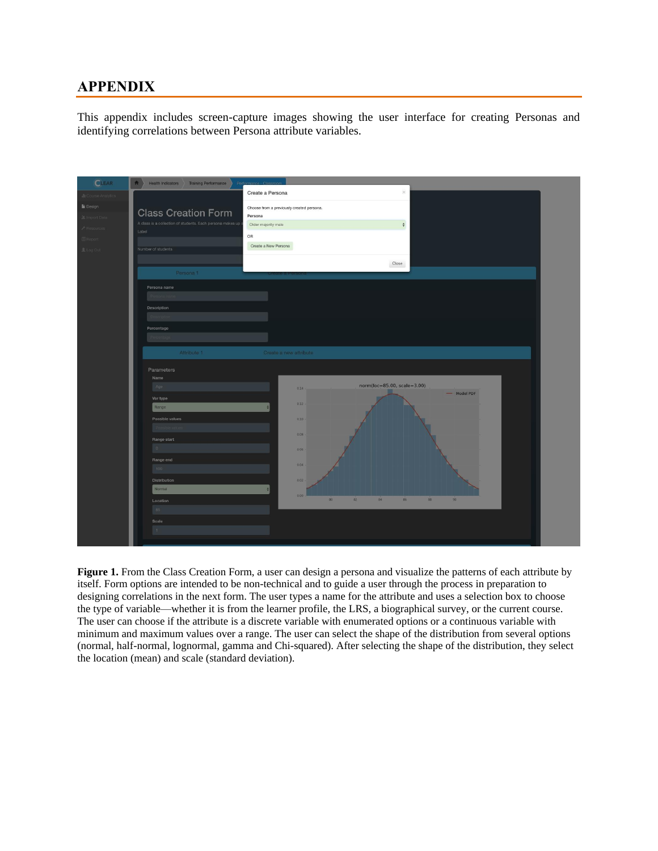# **APPENDIX**

This appendix includes screen-capture images showing the user interface for creating Personas and identifying correlations between Persona attribute variables.



**Figure 1.** From the Class Creation Form, a user can design a persona and visualize the patterns of each attribute by itself. Form options are intended to be non-technical and to guide a user through the process in preparation to designing correlations in the next form. The user types a name for the attribute and uses a selection box to choose the type of variable—whether it is from the learner profile, the LRS, a biographical survey, or the current course. The user can choose if the attribute is a discrete variable with enumerated options or a continuous variable with minimum and maximum values over a range. The user can select the shape of the distribution from several options (normal, half-normal, lognormal, gamma and Chi-squared). After selecting the shape of the distribution, they select the location (mean) and scale (standard deviation).